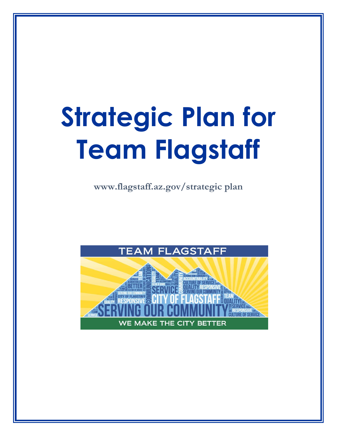# **Strategic Plan for Team Flagstaff**

**www.flagstaff.az.gov/strategic plan** 

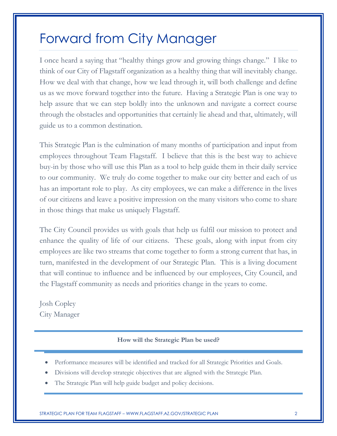#### Forward from City Manager

I once heard a saying that "healthy things grow and growing things change." I like to think of our City of Flagstaff organization as a healthy thing that will inevitably change. How we deal with that change, how we lead through it, will both challenge and define us as we move forward together into the future. Having a Strategic Plan is one way to help assure that we can step boldly into the unknown and navigate a correct course through the obstacles and opportunities that certainly lie ahead and that, ultimately, will guide us to a common destination.

This Strategic Plan is the culmination of many months of participation and input from employees throughout Team Flagstaff. I believe that this is the best way to achieve buy-in by those who will use this Plan as a tool to help guide them in their daily service to our community. We truly do come together to make our city better and each of us has an important role to play. As city employees, we can make a difference in the lives of our citizens and leave a positive impression on the many visitors who come to share in those things that make us uniquely Flagstaff.

The City Council provides us with goals that help us fulfil our mission to protect and enhance the quality of life of our citizens. These goals, along with input from city employees are like two streams that come together to form a strong current that has, in turn, manifested in the development of our Strategic Plan. This is a living document that will continue to influence and be influenced by our employees, City Council, and the Flagstaff community as needs and priorities change in the years to come.

Josh Copley City Manager

#### **How will the Strategic Plan be used?**

- Performance measures will be identified and tracked for all Strategic Priorities and Goals.
- Divisions will develop strategic objectives that are aligned with the Strategic Plan.
- The Strategic Plan will help guide budget and policy decisions.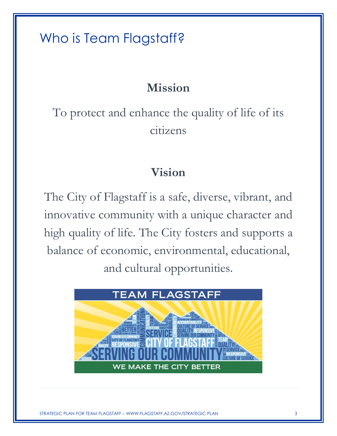### Who is Team Flagstaff?

#### **Mission**

To protect and enhance the quality of life of its citizens

#### **Vision**

The City of Flagstaff is a safe, diverse, vibrant, and innovative community with a unique character and high quality of life. The City fosters and supports a balance of economic, environmental, educational, and cultural opportunities.



WWW.FLAGSTAFF.AZ.GOV/STRATEGIC PLAN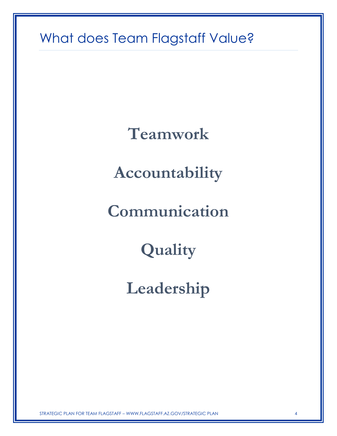## What does Team Flagstaff Value?

**Teamwork**

**Accountability**

**Communication**

**Quality**

**Leadership**

STRATEGIC PLAN FOR TEAM FLAGSTAFF – WWW.FLAGSTAFF.AZ.GOV/STRATEGIC PLAN 4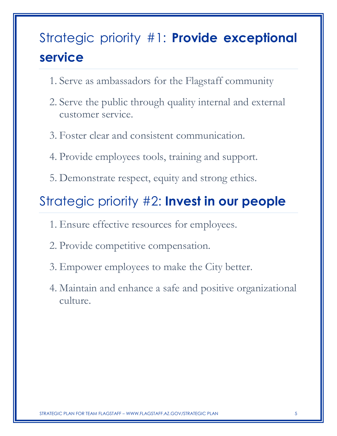# Strategic priority #1: **Provide exceptional service**

- 1. Serve as ambassadors for the Flagstaff community
- 2. Serve the public through quality internal and external customer service.
- 3. Foster clear and consistent communication.
- 4. Provide employees tools, training and support.
- 5. Demonstrate respect, equity and strong ethics.

#### Strategic priority #2: **Invest in our people**

- 1. Ensure effective resources for employees.
- 2. Provide competitive compensation.
- 3. Empower employees to make the City better.
- 4. Maintain and enhance a safe and positive organizational culture.